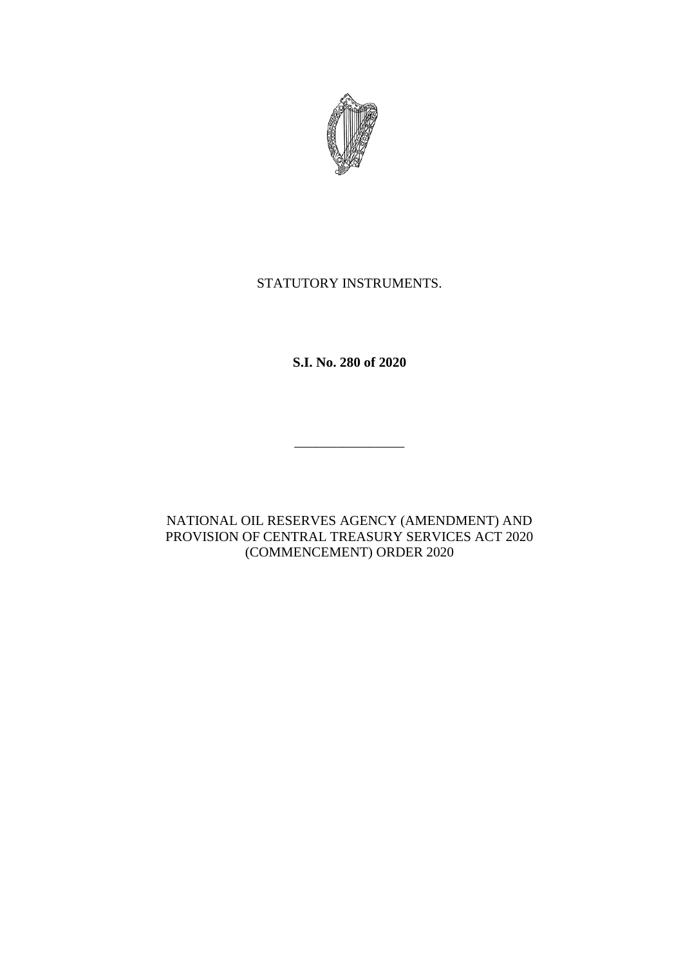

## STATUTORY INSTRUMENTS.

**S.I. No. 280 of 2020**

\_\_\_\_\_\_\_\_\_\_\_\_\_\_\_\_

NATIONAL OIL RESERVES AGENCY (AMENDMENT) AND PROVISION OF CENTRAL TREASURY SERVICES ACT 2020 (COMMENCEMENT) ORDER 2020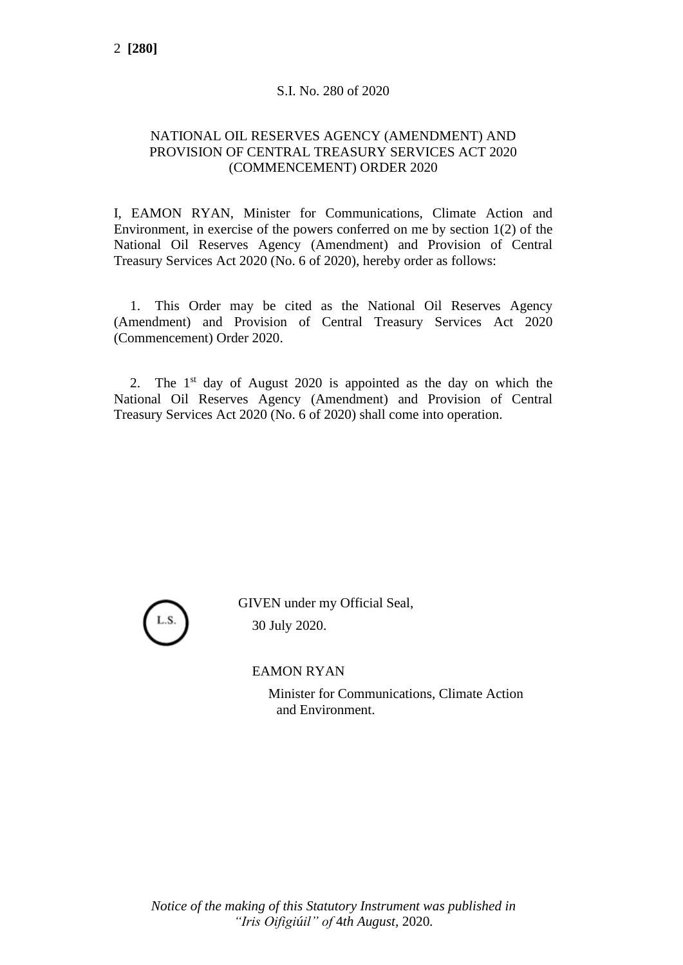## S.I. No. 280 of 2020

## NATIONAL OIL RESERVES AGENCY (AMENDMENT) AND PROVISION OF CENTRAL TREASURY SERVICES ACT 2020 (COMMENCEMENT) ORDER 2020

I, EAMON RYAN, Minister for Communications, Climate Action and Environment, in exercise of the powers conferred on me by section 1(2) of the National Oil Reserves Agency (Amendment) and Provision of Central Treasury Services Act 2020 (No. 6 of 2020), hereby order as follows:

1. This Order may be cited as the National Oil Reserves Agency (Amendment) and Provision of Central Treasury Services Act 2020 (Commencement) Order 2020.

2. The  $1<sup>st</sup>$  day of August 2020 is appointed as the day on which the National Oil Reserves Agency (Amendment) and Provision of Central Treasury Services Act 2020 (No. 6 of 2020) shall come into operation.



GIVEN under my Official Seal, 30 July 2020.

EAMON RYAN

Minister for Communications, Climate Action and Environment.